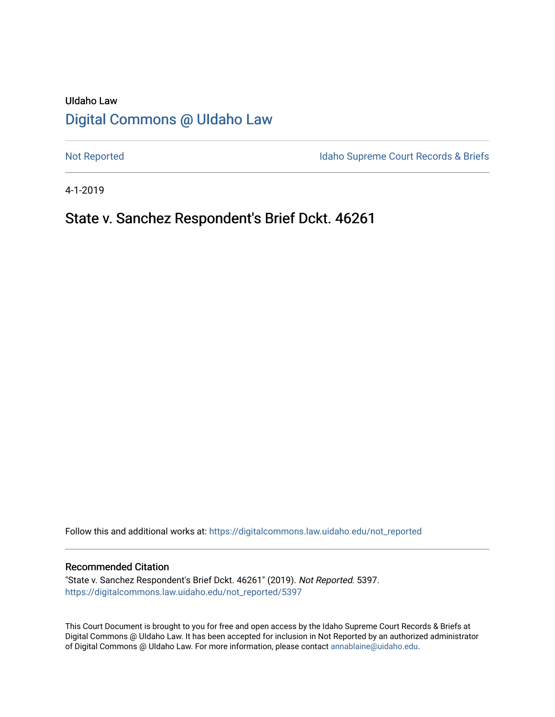# UIdaho Law [Digital Commons @ UIdaho Law](https://digitalcommons.law.uidaho.edu/)

[Not Reported](https://digitalcommons.law.uidaho.edu/not_reported) **Idaho Supreme Court Records & Briefs** 

4-1-2019

## State v. Sanchez Respondent's Brief Dckt. 46261

Follow this and additional works at: [https://digitalcommons.law.uidaho.edu/not\\_reported](https://digitalcommons.law.uidaho.edu/not_reported?utm_source=digitalcommons.law.uidaho.edu%2Fnot_reported%2F5397&utm_medium=PDF&utm_campaign=PDFCoverPages) 

#### Recommended Citation

"State v. Sanchez Respondent's Brief Dckt. 46261" (2019). Not Reported. 5397. [https://digitalcommons.law.uidaho.edu/not\\_reported/5397](https://digitalcommons.law.uidaho.edu/not_reported/5397?utm_source=digitalcommons.law.uidaho.edu%2Fnot_reported%2F5397&utm_medium=PDF&utm_campaign=PDFCoverPages)

This Court Document is brought to you for free and open access by the Idaho Supreme Court Records & Briefs at Digital Commons @ UIdaho Law. It has been accepted for inclusion in Not Reported by an authorized administrator of Digital Commons @ UIdaho Law. For more information, please contact [annablaine@uidaho.edu](mailto:annablaine@uidaho.edu).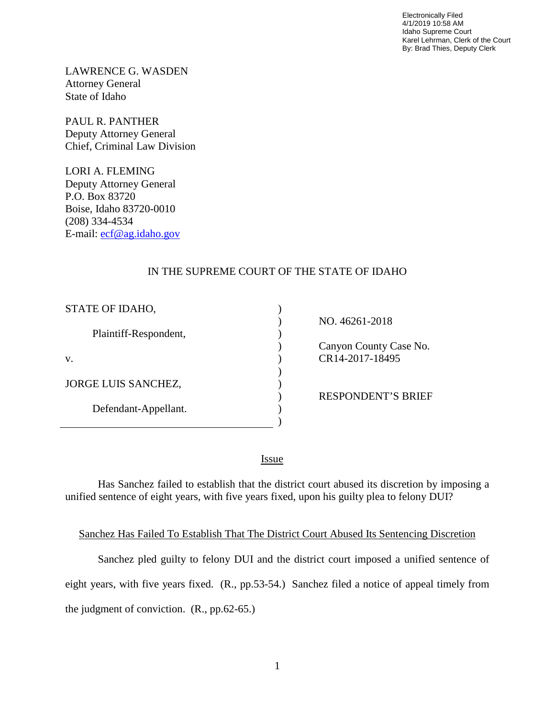Electronically Filed 4/1/2019 10:58 AM Idaho Supreme Court Karel Lehrman, Clerk of the Court By: Brad Thies, Deputy Clerk

LAWRENCE G. WASDEN Attorney General State of Idaho

PAUL R. PANTHER Deputy Attorney General Chief, Criminal Law Division

LORI A. FLEMING Deputy Attorney General P.O. Box 83720 Boise, Idaho 83720-0010 (208) 334-4534 E-mail: [ecf@ag.idaho.gov](mailto:ecf@ag.idaho.gov)

## IN THE SUPREME COURT OF THE STATE OF IDAHO

| STATE OF IDAHO,            |  |
|----------------------------|--|
| Plaintiff-Respondent,      |  |
| V.                         |  |
| <b>JORGE LUIS SANCHEZ,</b> |  |
| Defendant-Appellant.       |  |
|                            |  |

 NO. 46261-2018 Canyon County Case No. CR14-2017-18495

RESPONDENT'S BRIEF

<u>Issue</u>

Has Sanchez failed to establish that the district court abused its discretion by imposing a unified sentence of eight years, with five years fixed, upon his guilty plea to felony DUI?

#### Sanchez Has Failed To Establish That The District Court Abused Its Sentencing Discretion

Sanchez pled guilty to felony DUI and the district court imposed a unified sentence of eight years, with five years fixed. (R., pp.53-54.) Sanchez filed a notice of appeal timely from the judgment of conviction. (R., pp.62-65.)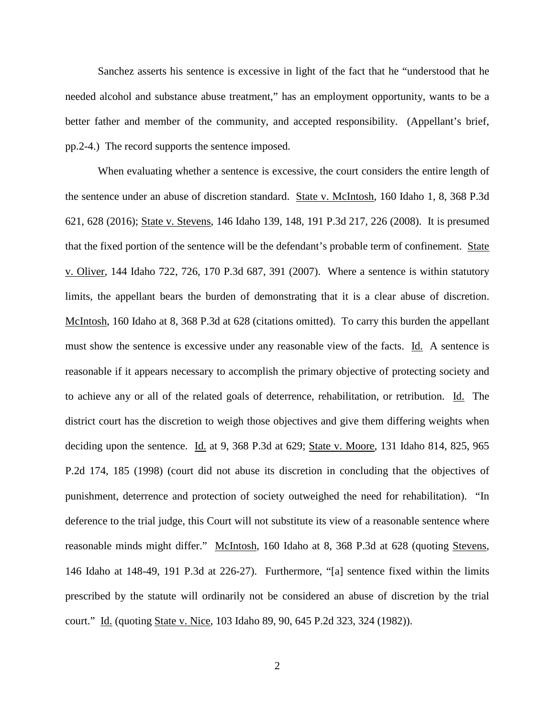Sanchez asserts his sentence is excessive in light of the fact that he "understood that he needed alcohol and substance abuse treatment," has an employment opportunity, wants to be a better father and member of the community, and accepted responsibility. (Appellant's brief, pp.2-4.) The record supports the sentence imposed.

When evaluating whether a sentence is excessive, the court considers the entire length of the sentence under an abuse of discretion standard. State v. McIntosh, 160 Idaho 1, 8, 368 P.3d 621, 628 (2016); State v. Stevens, 146 Idaho 139, 148, 191 P.3d 217, 226 (2008). It is presumed that the fixed portion of the sentence will be the defendant's probable term of confinement. State v. Oliver, 144 Idaho 722, 726, 170 P.3d 687, 391 (2007). Where a sentence is within statutory limits, the appellant bears the burden of demonstrating that it is a clear abuse of discretion. McIntosh, 160 Idaho at 8, 368 P.3d at 628 (citations omitted). To carry this burden the appellant must show the sentence is excessive under any reasonable view of the facts. Id. A sentence is reasonable if it appears necessary to accomplish the primary objective of protecting society and to achieve any or all of the related goals of deterrence, rehabilitation, or retribution. Id. The district court has the discretion to weigh those objectives and give them differing weights when deciding upon the sentence. Id. at 9, 368 P.3d at 629; State v. Moore, 131 Idaho 814, 825, 965 P.2d 174, 185 (1998) (court did not abuse its discretion in concluding that the objectives of punishment, deterrence and protection of society outweighed the need for rehabilitation). "In deference to the trial judge, this Court will not substitute its view of a reasonable sentence where reasonable minds might differ." McIntosh, 160 Idaho at 8, 368 P.3d at 628 (quoting Stevens, 146 Idaho at 148-49, 191 P.3d at 226-27). Furthermore, "[a] sentence fixed within the limits prescribed by the statute will ordinarily not be considered an abuse of discretion by the trial court." Id. (quoting State v. Nice, 103 Idaho 89, 90, 645 P.2d 323, 324 (1982)).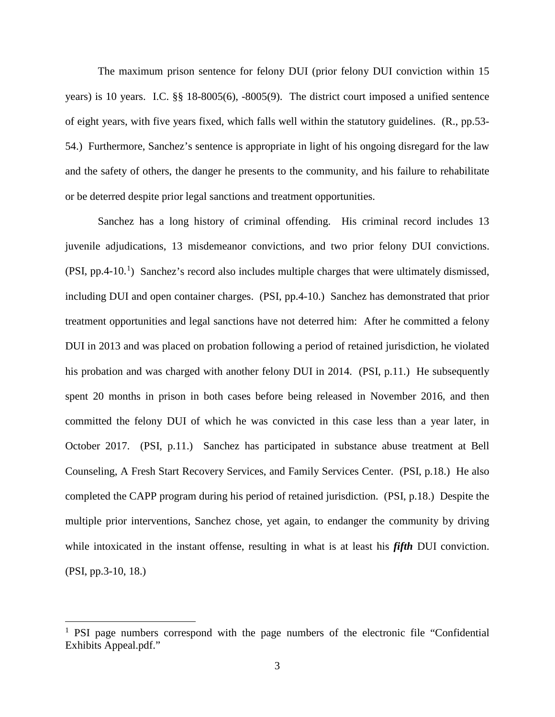The maximum prison sentence for felony DUI (prior felony DUI conviction within 15 years) is 10 years. I.C. §§ 18-8005(6), -8005(9). The district court imposed a unified sentence of eight years, with five years fixed, which falls well within the statutory guidelines. (R., pp.53- 54.) Furthermore, Sanchez's sentence is appropriate in light of his ongoing disregard for the law and the safety of others, the danger he presents to the community, and his failure to rehabilitate or be deterred despite prior legal sanctions and treatment opportunities.

Sanchez has a long history of criminal offending. His criminal record includes 13 juvenile adjudications, 13 misdemeanor convictions, and two prior felony DUI convictions.  $(PSI, pp.4-10<sup>1</sup>)$  $(PSI, pp.4-10<sup>1</sup>)$  $(PSI, pp.4-10<sup>1</sup>)$  Sanchez's record also includes multiple charges that were ultimately dismissed, including DUI and open container charges. (PSI, pp.4-10.) Sanchez has demonstrated that prior treatment opportunities and legal sanctions have not deterred him: After he committed a felony DUI in 2013 and was placed on probation following a period of retained jurisdiction, he violated his probation and was charged with another felony DUI in 2014. (PSI, p.11.) He subsequently spent 20 months in prison in both cases before being released in November 2016, and then committed the felony DUI of which he was convicted in this case less than a year later, in October 2017. (PSI, p.11.) Sanchez has participated in substance abuse treatment at Bell Counseling, A Fresh Start Recovery Services, and Family Services Center. (PSI, p.18.) He also completed the CAPP program during his period of retained jurisdiction. (PSI, p.18.) Despite the multiple prior interventions, Sanchez chose, yet again, to endanger the community by driving while intoxicated in the instant offense, resulting in what is at least his *fifth* DUI conviction. (PSI, pp.3-10, 18.)

 $\overline{a}$ 

<span id="page-3-0"></span><sup>&</sup>lt;sup>1</sup> PSI page numbers correspond with the page numbers of the electronic file "Confidential" Exhibits Appeal.pdf."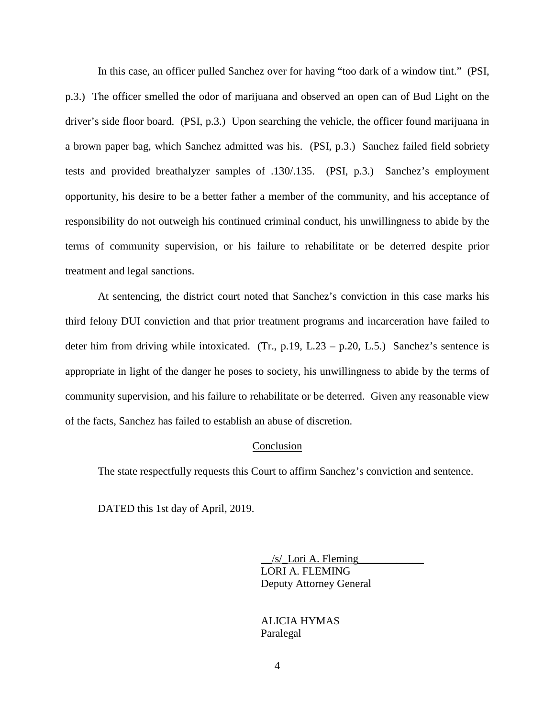In this case, an officer pulled Sanchez over for having "too dark of a window tint." (PSI, p.3.) The officer smelled the odor of marijuana and observed an open can of Bud Light on the driver's side floor board. (PSI, p.3.) Upon searching the vehicle, the officer found marijuana in a brown paper bag, which Sanchez admitted was his. (PSI, p.3.) Sanchez failed field sobriety tests and provided breathalyzer samples of .130/.135. (PSI, p.3.) Sanchez's employment opportunity, his desire to be a better father a member of the community, and his acceptance of responsibility do not outweigh his continued criminal conduct, his unwillingness to abide by the terms of community supervision, or his failure to rehabilitate or be deterred despite prior treatment and legal sanctions.

At sentencing, the district court noted that Sanchez's conviction in this case marks his third felony DUI conviction and that prior treatment programs and incarceration have failed to deter him from driving while intoxicated. (Tr., p.19, L.23 – p.20, L.5.) Sanchez's sentence is appropriate in light of the danger he poses to society, his unwillingness to abide by the terms of community supervision, and his failure to rehabilitate or be deterred. Given any reasonable view of the facts, Sanchez has failed to establish an abuse of discretion.

#### Conclusion

The state respectfully requests this Court to affirm Sanchez's conviction and sentence.

DATED this 1st day of April, 2019.

 $/s/$  Lori A. Fleming LORI A. FLEMING Deputy Attorney General

 ALICIA HYMAS Paralegal